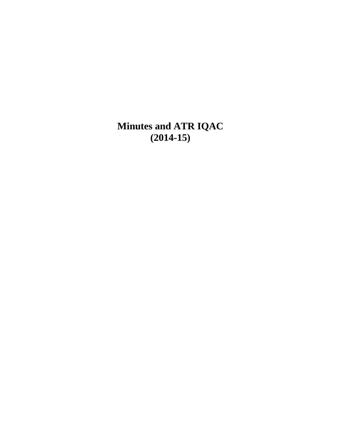**Minutes and ATR IQAC (2014-15)**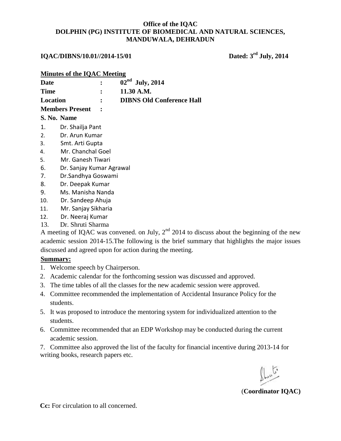## **IQAC/DIBNS/10.01//2014-15/01** Dated: 3<sup>rd</sup> July, 2014

|                 | <b>Minutes of the IQAC Meeting</b> |                                  |
|-----------------|------------------------------------|----------------------------------|
| Date            |                                    | $02nd$ July, 2014                |
| <b>Time</b>     |                                    | 11.30 A.M.                       |
| <b>Location</b> |                                    | <b>DIBNS Old Conference Hall</b> |
|                 | <b>Members Present</b>             |                                  |
|                 | S. No. Name                        |                                  |
|                 | 1. Dr. Shailja Pant                |                                  |
|                 | .                                  |                                  |

- 2. Dr. Arun Kumar
- 3. Smt. Arti Gupta
- 4. Mr. Chanchal Goel
- 5. Mr. Ganesh Tiwari
- 6. Dr. Sanjay Kumar Agrawal
- 7. Dr.Sandhya Goswami
- 8. Dr. Deepak Kumar
- 9. Ms. Manisha Nanda
- 10. Dr. Sandeep Ahuja
- 11. Mr. Sanjay Sikharia
- 12. Dr. Neeraj Kumar
- 13. Dr. Shruti Sharma

A meeting of IQAC was convened. on July,  $2<sup>nd</sup>$  2014 to discuss about the beginning of the new academic session 2014-15.The following is the brief summary that highlights the major issues discussed and agreed upon for action during the meeting.

#### **Summary:**

- 1. Welcome speech by Chairperson.
- 2. Academic calendar for the forthcoming session was discussed and approved.
- 3. The time tables of all the classes for the new academic session were approved.
- 4. Committee recommended the implementation of Accidental Insurance Policy for the students.
- 5. It was proposed to introduce the mentoring system for individualized attention to the students.
- 6. Committee recommended that an EDP Workshop may be conducted during the current academic session.
- 7. Committee also approved the list of the faculty for financial incentive during 2013-14 for writing books, research papers etc.

(**Coordinator IQAC)**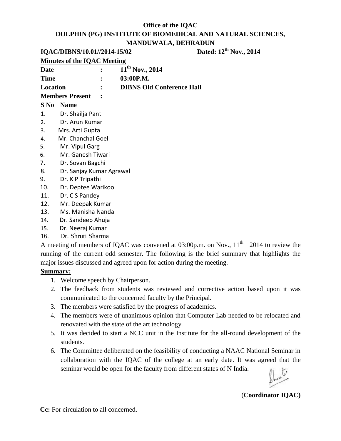|  |  | IQAC/DIBNS/10.01//2014-15/02 |
|--|--|------------------------------|
|--|--|------------------------------|

# **Dated: 12<sup>th</sup> Nov., 2014**

|                | <b>Minutes of the IQAC Meeting</b> |                                  |
|----------------|------------------------------------|----------------------------------|
| <b>Date</b>    |                                    | $11^{th}$ Nov., 2014             |
| <b>Time</b>    |                                    | 03:00P.M.                        |
| Location       |                                    | <b>DIBNS Old Conference Hall</b> |
|                | <b>Members Present</b>             |                                  |
|                | <b>S No Name</b>                   |                                  |
| $\mathbf{1}$ . | Dr. Shailja Pant                   |                                  |
| 2.             | Dr. Arun Kumar                     |                                  |
| 3.             | Mrs. Arti Gupta                    |                                  |
| 4.             | Mr. Chanchal Goel                  |                                  |
| 5.             | Mr. Vipul Garg                     |                                  |
| 6.             | Mr. Ganesh Tiwari                  |                                  |
| 7.             | Dr. Sovan Bagchi                   |                                  |
| 8.             | Dr. Sanjay Kumar Agrawal           |                                  |
| 9.             | Dr. K P Tripathi                   |                                  |
| 10.            | Dr. Deptee Warikoo                 |                                  |
| 11.            | Dr. C S Pandey                     |                                  |
| 12.            | Mr. Deepak Kumar                   |                                  |
| 13.            | Ms. Manisha Nanda                  |                                  |
| 14.            | Dr. Sandeep Ahuja                  |                                  |
| 15.            | Dr. Neeraj Kumar                   |                                  |
| 16.            | Dr. Shruti Sharma                  |                                  |

A meeting of members of IQAC was convened at  $03:00p$ .m. on Nov.,  $11<sup>th</sup>$  2014 to review the running of the current odd semester. The following is the brief summary that highlights the major issues discussed and agreed upon for action during the meeting.

#### **Summary:**

- 1. Welcome speech by Chairperson.
- 2. The feedback from students was reviewed and corrective action based upon it was communicated to the concerned faculty by the Principal.
- 3. The members were satisfied by the progress of academics.
- 4. The members were of unanimous opinion that Computer Lab needed to be relocated and renovated with the state of the art technology.
- 5. It was decided to start a NCC unit in the Institute for the all-round development of the students.
- 6. The Committee deliberated on the feasibility of conducting a NAAC National Seminar in collaboration with the IQAC of the college at an early date. It was agreed that the seminar would be open for the faculty from different states of N India.

(**Coordinator IQAC)**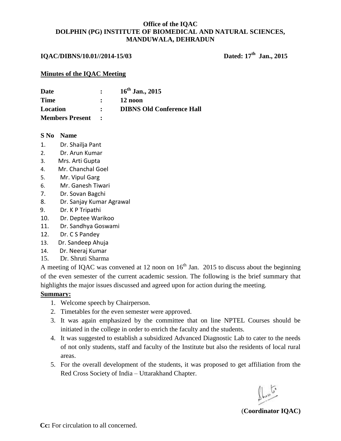#### **IQAC/DIBNS/10.01//2014-15/03**

Dated: 17<sup>th</sup> Jan., 2015

#### **Minutes of the IQAC Meeting**

| Date                   | $\mathbf{r}$                     | $16^{th}$ Jan., 2015             |
|------------------------|----------------------------------|----------------------------------|
| Time                   |                                  | 12 noon                          |
| <b>Location</b>        | $\bullet$ . The set of $\bullet$ | <b>DIBNS Old Conference Hall</b> |
| <b>Members Present</b> |                                  |                                  |

#### **S No Name**

- 1. Dr. Shailja Pant
- 2. Dr. Arun Kumar
- 3. Mrs. Arti Gupta
- 4. Mr. Chanchal Goel
- 5. Mr. Vipul Garg
- 6. Mr. Ganesh Tiwari
- 7. Dr. Sovan Bagchi
- 8. Dr. Sanjay Kumar Agrawal
- 9. Dr. K P Tripathi
- 10. Dr. Deptee Warikoo
- 11. Dr. Sandhya Goswami
- 12. Dr. C S Pandey
- 13. Dr. Sandeep Ahuja
- 14. Dr. Neeraj Kumar
- 15. Dr. Shruti Sharma

A meeting of IQAC was convened at 12 noon on  $16<sup>th</sup>$  Jan. 2015 to discuss about the beginning of the even semester of the current academic session. The following is the brief summary that highlights the major issues discussed and agreed upon for action during the meeting.

#### **Summary:**

- 1. Welcome speech by Chairperson.
- 2. Timetables for the even semester were approved.
- 3. It was again emphasized by the committee that on line NPTEL Courses should be initiated in the college in order to enrich the faculty and the students.
- 4. It was suggested to establish a subsidized Advanced Diagnostic Lab to cater to the needs of not only students, staff and faculty of the Institute but also the residents of local rural areas.
- 5. For the overall development of the students, it was proposed to get affiliation from the Red Cross Society of India – Uttarakhand Chapter.

(**Coordinator IQAC)**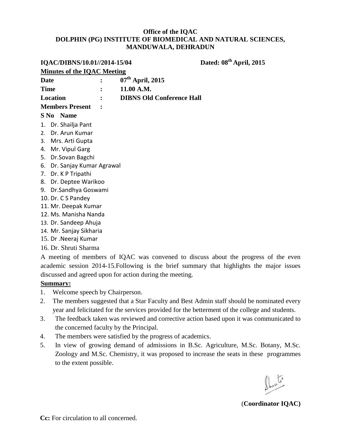# **IQAC/DIBNS/10.01//2014-15/04 Dated: 08th April, 2015**

| <b>Minutes of the IQAC Meeting</b>                                                  |  |                    |                                  |  |  |  |  |  |
|-------------------------------------------------------------------------------------|--|--------------------|----------------------------------|--|--|--|--|--|
| Date                                                                                |  | $07th$ April, 2015 |                                  |  |  |  |  |  |
| <b>Time</b>                                                                         |  | 11.00 A.M.         |                                  |  |  |  |  |  |
| Location                                                                            |  |                    | <b>DIBNS Old Conference Hall</b> |  |  |  |  |  |
| <b>Members Present</b>                                                              |  |                    |                                  |  |  |  |  |  |
| S No Name                                                                           |  |                    |                                  |  |  |  |  |  |
| 1. Dr. Shailja Pant                                                                 |  |                    |                                  |  |  |  |  |  |
| Dr. Arun Kumar<br>2.                                                                |  |                    |                                  |  |  |  |  |  |
| Mrs. Arti Gupta<br>3.                                                               |  |                    |                                  |  |  |  |  |  |
| Mr. Vipul Garg<br>4.                                                                |  |                    |                                  |  |  |  |  |  |
| Dr.Sovan Bagchi<br>5.                                                               |  |                    |                                  |  |  |  |  |  |
| Dr. Sanjay Kumar Agrawal<br>6.                                                      |  |                    |                                  |  |  |  |  |  |
| 7. Dr. K P Tripathi                                                                 |  |                    |                                  |  |  |  |  |  |
| Dr. Deptee Warikoo<br>8.                                                            |  |                    |                                  |  |  |  |  |  |
| Dr.Sandhya Goswami<br>9.                                                            |  |                    |                                  |  |  |  |  |  |
| 10. Dr. C S Pandey                                                                  |  |                    |                                  |  |  |  |  |  |
| 11. Mr. Deepak Kumar                                                                |  |                    |                                  |  |  |  |  |  |
| 12. Ms. Manisha Nanda                                                               |  |                    |                                  |  |  |  |  |  |
| 13. Dr. Sandeep Ahuja                                                               |  |                    |                                  |  |  |  |  |  |
| 14. Mr. Sanjay Sikharia                                                             |  |                    |                                  |  |  |  |  |  |
| 15. Dr . Neeraj Kumar                                                               |  |                    |                                  |  |  |  |  |  |
| 16. Dr. Shruti Sharma                                                               |  |                    |                                  |  |  |  |  |  |
| A meeting of members of IQAC was convened to discuss about the progress of the even |  |                    |                                  |  |  |  |  |  |

#### **Summary:**

- 1. Welcome speech by Chairperson.
- 2. The members suggested that a Star Faculty and Best Admin staff should be nominated every year and felicitated for the services provided for the betterment of the college and students.

academic session 2014-15.Following is the brief summary that highlights the major issues

- 3. The feedback taken was reviewed and corrective action based upon it was communicated to the concerned faculty by the Principal.
- 4. The members were satisfied by the progress of academics.

discussed and agreed upon for action during the meeting.

5. In view of growing demand of admissions in B.Sc. Agriculture, M.Sc. Botany, M.Sc. Zoology and M.Sc. Chemistry, it was proposed to increase the seats in these programmes to the extent possible.

 $\int_{\mathbb{R}^{n}}$ 

(**Coordinator IQAC)**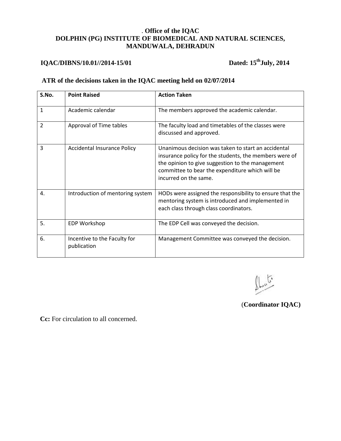# **IQAC/DIBNS/10.01//2014-15/01 Dated: 15thJuly, 2014**

#### **ATR of the decisions taken in the IQAC meeting held on 02/07/2014**

| S.No. | <b>Point Raised</b>                         | <b>Action Taken</b>                                                                                                                                                                                                                           |
|-------|---------------------------------------------|-----------------------------------------------------------------------------------------------------------------------------------------------------------------------------------------------------------------------------------------------|
| 1     | Academic calendar                           | The members approved the academic calendar.                                                                                                                                                                                                   |
| 2     | Approval of Time tables                     | The faculty load and timetables of the classes were<br>discussed and approved.                                                                                                                                                                |
| 3     | <b>Accidental Insurance Policy</b>          | Unanimous decision was taken to start an accidental<br>insurance policy for the students, the members were of<br>the opinion to give suggestion to the management<br>committee to bear the expenditure which will be<br>incurred on the same. |
| 4.    | Introduction of mentoring system            | HODs were assigned the responsibility to ensure that the<br>mentoring system is introduced and implemented in<br>each class through class coordinators.                                                                                       |
| 5.    | <b>EDP Workshop</b>                         | The EDP Cell was conveyed the decision.                                                                                                                                                                                                       |
| 6.    | Incentive to the Faculty for<br>publication | Management Committee was conveyed the decision.                                                                                                                                                                                               |

تكييلا

(**Coordinator IQAC)**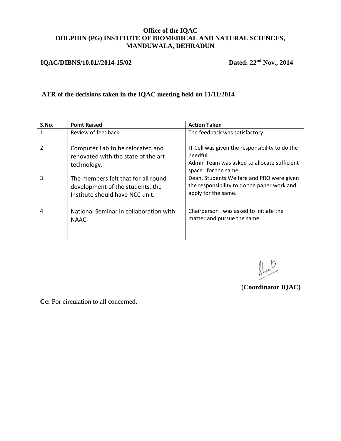## **IQAC/DIBNS/10.01//2014-15/02** Dated: 22<sup>nd</sup> Nov., 2014

### **ATR of the decisions taken in the IQAC meeting held on 11/11/2014**

| S.No.          | <b>Point Raised</b>                                                                                        | <b>Action Taken</b>                                                                                                              |
|----------------|------------------------------------------------------------------------------------------------------------|----------------------------------------------------------------------------------------------------------------------------------|
|                | Review of feedback                                                                                         | The feedback was satisfactory.                                                                                                   |
| $\mathfrak{p}$ | Computer Lab to be relocated and<br>renovated with the state of the art<br>technology.                     | IT Cell was given the responsibility to do the<br>needful.<br>Admin Team was asked to allocate sufficient<br>space for the same. |
| 3              | The members felt that for all round<br>development of the students, the<br>Institute should have NCC unit. | Dean, Students Welfare and PRO were given<br>the responsibility to do the paper work and<br>apply for the same.                  |
| $\overline{a}$ | National Seminar in collaboration with<br><b>NAAC</b>                                                      | Chairperson was asked to initiate the<br>matter and pursue the same.                                                             |

فكالمعالج

(**Coordinator IQAC)**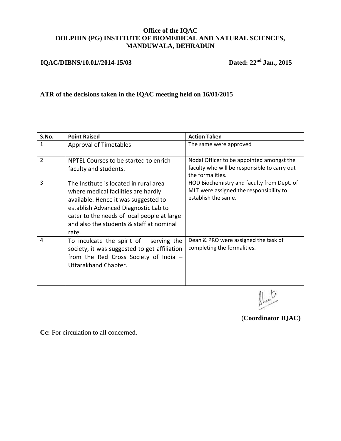## **IQAC/DIBNS/10.01//2014-15/03 Dated: 22nd Jan., 2015**

### **ATR of the decisions taken in the IQAC meeting held on 16/01/2015**

| S.No.          | <b>Point Raised</b>                                                                                                                                                                                                                                               | <b>Action Taken</b>                                                                                           |
|----------------|-------------------------------------------------------------------------------------------------------------------------------------------------------------------------------------------------------------------------------------------------------------------|---------------------------------------------------------------------------------------------------------------|
| 1              | <b>Approval of Timetables</b>                                                                                                                                                                                                                                     | The same were approved                                                                                        |
| $\overline{2}$ | NPTEL Courses to be started to enrich<br>faculty and students.                                                                                                                                                                                                    | Nodal Officer to be appointed amongst the<br>faculty who will be responsible to carry out<br>the formalities. |
| 3              | The Institute is located in rural area<br>where medical facilities are hardly<br>available. Hence it was suggested to<br>establish Advanced Diagnostic Lab to<br>cater to the needs of local people at large<br>and also the students & staff at nominal<br>rate. | HOD Biochemistry and faculty from Dept. of<br>MLT were assigned the responsibility to<br>establish the same.  |
| 4              | To inculcate the spirit of<br>serving the<br>society, it was suggested to get affiliation<br>from the Red Cross Society of India $-$<br>Uttarakhand Chapter.                                                                                                      | Dean & PRO were assigned the task of<br>completing the formalities.                                           |

 $\mathbb{L}^5$ 

(**Coordinator IQAC)**